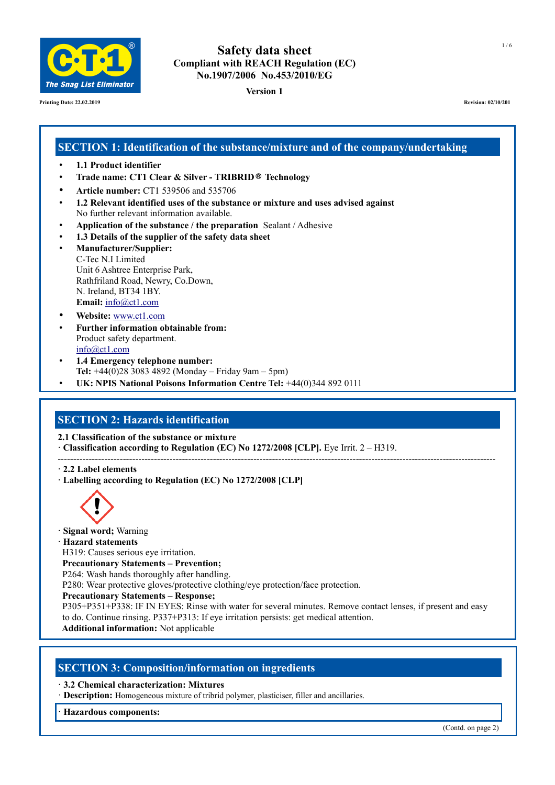

**Printing Date: 22.02.2019 Revision: 02/10/201**

# **Safety data sheet Compliant with REACH Regulation (EC) No.1907/2006 No.453/2010/EG**

**Version 1**

# **SECTION 1: Identification of the substance/mixture and of the company/undertaking**

- **1.1 Product identifier**
- **Trade name: CT1 Clear & Silver TRIBRID® Technology**
- **Article number:** CT1 539506 and 535706
- **1.2 Relevant identified uses of the substance or mixture and uses advised against** No further relevant information available.
- **Application of the substance / the preparation** Sealant / Adhesive
- **1.3 Details of the supplier of the safety data sheet**
- **Manufacturer/Supplier:** C-Tec N.I Limited Unit 6 Ashtree Enterprise Park, Rathfriland Road, Newry, Co.Down, N. Ireland, BT34 1BY. **Email:** [info@ct1.com](mailto:info@ct1ltd.com)
- **Website:** [www.ct1.com](http://www.ct1ltd.com/)
- **Further information obtainable from:** Product safety department. [info@ct1.com](mailto:info@ct1ltd.com)
- **1.4 Emergency telephone number: Tel:** +44(0)28 3083 4892 (Monday – Friday 9am – 5pm)
- **UK: NPIS National Poisons Information Centre Tel:** +44(0)344 892 0111

# **SECTION 2: Hazards identification**

**2.1 Classification of the substance or mixture**

- **· Classification according to Regulation (EC) No 1272/2008 [CLP].** Eye Irrit. 2 H319.
- --------------------------------------------------------------------------------------------------------------------------------------------- **· 2.2 Label elements**
- **· Labelling according to Regulation (EC) No 1272/2008 [CLP]**



- **· Signal word;** Warning
- **· Hazard statements**

H319: Causes serious eye irritation.

**Precautionary Statements – Prevention;**

P264: Wash hands thoroughly after handling.

P280: Wear protective gloves/protective clothing/eye protection/face protection.

**Precautionary Statements – Response;**

P305+P351+P338: IF IN EYES: Rinse with water for several minutes. Remove contact lenses, if present and easy to do. Continue rinsing. P337+P313: If eye irritation persists: get medical attention.

**Additional information:** Not applicable

# **SECTION 3: Composition/information on ingredients**

- **· 3.2 Chemical characterization: Mixtures**
- · **Description:** Homogeneous mixture of tribrid polymer, plasticiser, filler and ancillaries.

**· Hazardous components:**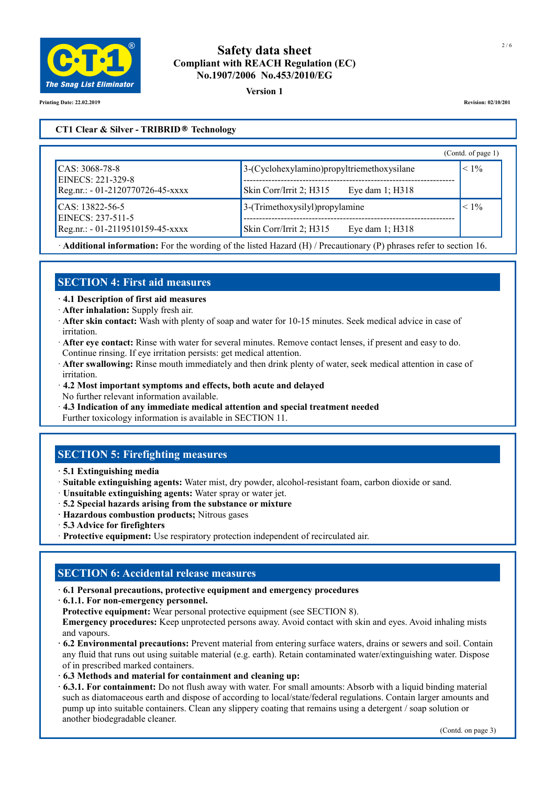

#### **Version 1**

**Printing Date: 22.02.2019 Revision: 02/10/201**

## **CT1 Clear & Silver - TRIBRID® Technology**

|                                                     |                                               | (Contd. of page 1) |
|-----------------------------------------------------|-----------------------------------------------|--------------------|
| $\text{CAS: } 3068 - 78 - 8$<br>EINECS: 221-329-8   | $3-(Cyclohexylamino)$ propyltriemethoxysilane | $< 1\%$            |
| Reg.nr.: - 01-2120770726-45-xxxx                    | Skin Corr/Irrit 2; H315<br>Eye dam 1; H318    |                    |
| $\textsf{CAS}: 13822 - 56 - 5$<br>EINECS: 237-511-5 | $3$ -(Trimethoxysilyl) propylamine            |                    |
| Reg.nr.: - 01-2119510159-45-xxxx                    | Skin Corr/Irrit 2; H315<br>Eye dam 1; H318    |                    |

· **Additional information:** For the wording of the listed Hazard (H) / Precautionary (P) phrases refer to section 16.

# **SECTION 4: First aid measures**

**· 4.1 Description of first aid measures**

- · **After inhalation:** Supply fresh air.
- · **After skin contact:** Wash with plenty of soap and water for 10-15 minutes. Seek medical advice in case of irritation.
- · **After eye contact:** Rinse with water for several minutes. Remove contact lenses, if present and easy to do. Continue rinsing. If eye irritation persists: get medical attention.
- · **After swallowing:** Rinse mouth immediately and then drink plenty of water, seek medical attention in case of irritation.
- · **4.2 Most important symptoms and effects, both acute and delayed** No further relevant information available.
- · **4.3 Indication of any immediate medical attention and special treatment needed** Further toxicology information is available in SECTION 11.

# **SECTION 5: Firefighting measures**

- **· 5.1 Extinguishing media**
- · **Suitable extinguishing agents:** Water mist, dry powder, alcohol-resistant foam, carbon dioxide or sand.
- · **Unsuitable extinguishing agents:** Water spray or water jet.
- · **5.2 Special hazards arising from the substance or mixture**
- **· Hazardous combustion products;** Nitrous gases
- · **5.3 Advice for firefighters**
- · **Protective equipment:** Use respiratory protection independent of recirculated air.

## **SECTION 6: Accidental release measures**

**· 6.1 Personal precautions, protective equipment and emergency procedures** 

**· 6.1.1. For non-emergency personnel.**

**Protective equipment:** Wear personal protective equipment (see SECTION 8).

 **Emergency procedures:** Keep unprotected persons away. Avoid contact with skin and eyes. Avoid inhaling mists and vapours.

- **· 6.2 Environmental precautions:** Prevent material from entering surface waters, drains or sewers and soil. Contain any fluid that runs out using suitable material (e.g. earth). Retain contaminated water/extinguishing water. Dispose of in prescribed marked containers.
- **· 6.3 Methods and material for containment and cleaning up:**
- **· 6.3.1. For containment:** Do not flush away with water. For small amounts: Absorb with a liquid binding material such as diatomaceous earth and dispose of according to local/state/federal regulations. Contain larger amounts and pump up into suitable containers. Clean any slippery coating that remains using a detergent / soap solution or another biodegradable cleaner.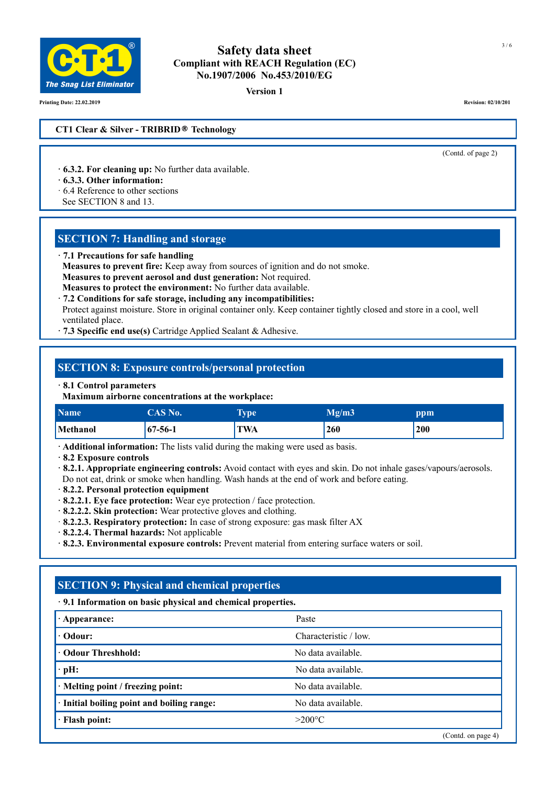

**Version 1**

**Printing Date: 22.02.2019 Revision: 02/10/201**

#### **CT1 Clear & Silver - TRIBRID® Technology**

(Contd. of page 2)

- **· 6.3.2. For cleaning up:** No further data available.
- **· 6.3.3. Other information:**
- · 6.4 Reference to other sections
- See SECTION 8 and 13.

## **SECTION 7: Handling and storage**

**· 7.1 Precautions for safe handling** 

 **Measures to prevent fire:** Keep away from sources of ignition and do not smoke.

**Measures to prevent aerosol and dust generation:** Not required.

- **Measures to protect the environment:** No further data available.
- **· 7.2 Conditions for safe storage, including any incompatibilities:**

 Protect against moisture. Store in original container only. Keep container tightly closed and store in a cool, well ventilated place.

**· 7.3 Specific end use(s)** Cartridge Applied Sealant & Adhesive.

## **SECTION 8: Exposure controls/personal protection**

#### **· 8.1 Control parameters**

 **Maximum airborne concentrations at the workplace:**

| Name <sup>1</sup> | CAS No.       | $\overline{\phantom{a}}$<br>Type | Mg/m3 | ppm |
|-------------------|---------------|----------------------------------|-------|-----|
| Methanol          | $67 - 56 - 1$ | TWA                              | 260   | 200 |

**· Additional information:** The lists valid during the making were used as basis.

**· 8.2 Exposure controls**

**· 8.2.1. Appropriate engineering controls:** Avoid contact with eyes and skin. Do not inhale gases/vapours/aerosols.

Do not eat, drink or smoke when handling. Wash hands at the end of work and before eating.

- **· 8.2.2. Personal protection equipment**
- **· 8.2.2.1. Eye face protection:** Wear eye protection / face protection.
- **· 8.2.2.2. Skin protection:** Wear protective gloves and clothing.
- · **8.2.2.3. Respiratory protection:** In case of strong exposure: gas mask filter AX
- **· 8.2.2.4. Thermal hazards:** Not applicable
- **· 8.2.3. Environmental exposure controls:** Prevent material from entering surface waters or soil.

# **SECTION 9: Physical and chemical properties**

## **· 9.1 Information on basic physical and chemical properties.**

| $\cdot$ Appearance:                        | Paste                 |  |
|--------------------------------------------|-----------------------|--|
| $\cdot$ Odour:                             | Characteristic / low. |  |
| <b>· Odour Threshhold:</b>                 | No data available.    |  |
| $\cdot$ pH:                                | No data available.    |  |
| $\cdot$ Melting point / freezing point:    | No data available.    |  |
| · Initial boiling point and boiling range: | No data available.    |  |
| · Flash point:                             | $>200^{\circ}$ C      |  |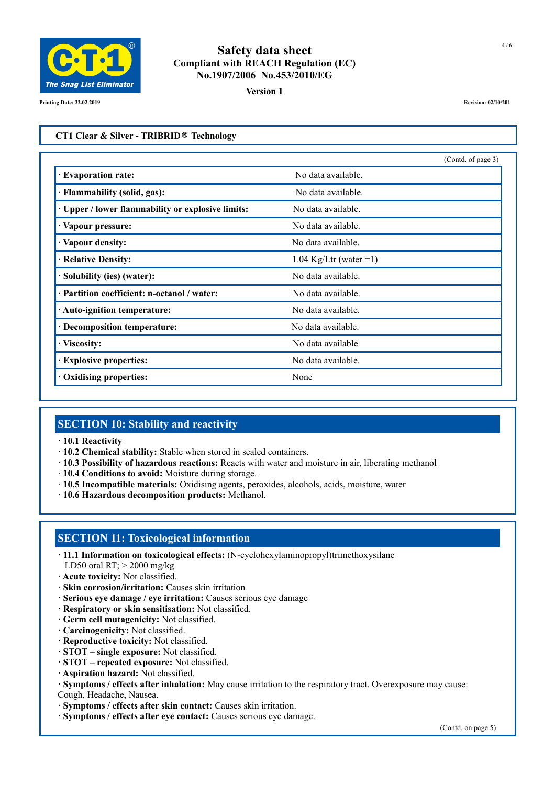

**Version 1**

**Printing Date: 22.02.2019 Revision: 02/10/201**

#### **CT1 Clear & Silver - TRIBRID® Technology**

|                                                 |                          | (Contd. of page 3) |
|-------------------------------------------------|--------------------------|--------------------|
| <b>Evaporation rate:</b>                        | No data available.       |                    |
| · Flammability (solid, gas):                    | No data available.       |                    |
| Upper / lower flammability or explosive limits: | No data available.       |                    |
| · Vapour pressure:                              | No data available.       |                    |
| Vapour density:                                 | No data available.       |                    |
| · Relative Density:                             | $1.04$ Kg/Ltr (water =1) |                    |
| Solubility (ies) (water):                       | No data available.       |                    |
| · Partition coefficient: n-octanol / water:     | No data available.       |                    |
| · Auto-ignition temperature:                    | No data available.       |                    |
| <b>Decomposition temperature:</b>               | No data available.       |                    |
| Viscosity:                                      | No data available        |                    |
| <b>Explosive properties:</b>                    | No data available.       |                    |
| <b>Oxidising properties:</b>                    | None                     |                    |

## **SECTION 10: Stability and reactivity**

- **· 10.1 Reactivity**
- · **10.2 Chemical stability:** Stable when stored in sealed containers.
- · **10.3 Possibility of hazardous reactions:** Reacts with water and moisture in air, liberating methanol
- · **10.4 Conditions to avoid:** Moisture during storage.
- · **10.5 Incompatible materials:** Oxidising agents, peroxides, alcohols, acids, moisture, water
- · **10.6 Hazardous decomposition products:** Methanol.

## **SECTION 11: Toxicological information**

- **· 11.1 Information on toxicological effects:** (N-cyclohexylaminopropyl)trimethoxysilane LD50 oral RT;  $>$  2000 mg/kg
- **· Acute toxicity:** Not classified.
- **· Skin corrosion/irritation:** Causes skin irritation
- **· Serious eye damage / eye irritation:** Causes serious eye damage
- **· Respiratory or skin sensitisation:** Not classified.
- **· Germ cell mutagenicity:** Not classified.
- **· Carcinogenicity:** Not classified.
- **· Reproductive toxicity:** Not classified.
- **· STOT single exposure:** Not classified.
- **· STOT repeated exposure:** Not classified.
- **· Aspiration hazard:** Not classified.
- **· Symptoms / effects after inhalation:** May cause irritation to the respiratory tract. Overexposure may cause:
- Cough, Headache, Nausea.
- **· Symptoms / effects after skin contact:** Causes skin irritation.
- **· Symptoms / effects after eye contact:** Causes serious eye damage.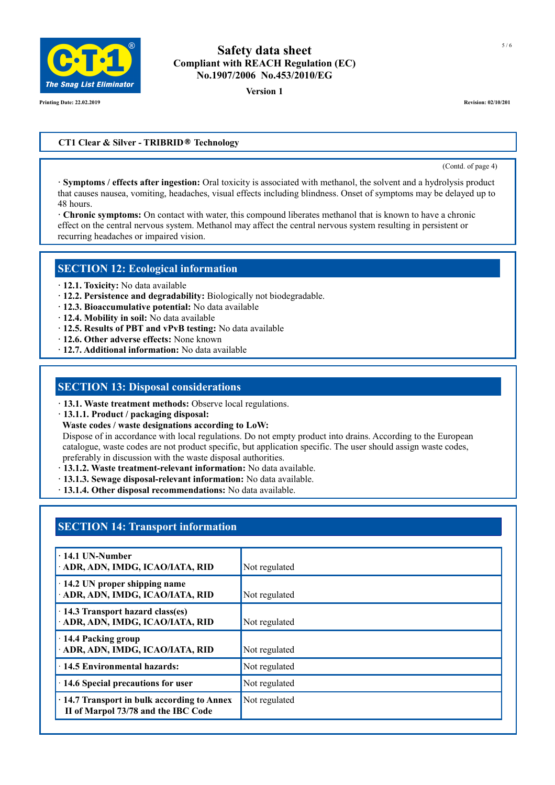

**Version 1**

**Printing Date: 22.02.2019 Revision: 02/10/201**

#### **CT1 Clear & Silver - TRIBRID® Technology**

(Contd. of page 4)

**· Symptoms / effects after ingestion:** Oral toxicity is associated with methanol, the solvent and a hydrolysis product that causes nausea, vomiting, headaches, visual effects including blindness. Onset of symptoms may be delayed up to 48 hours.

**· Chronic symptoms:** On contact with water, this compound liberates methanol that is known to have a chronic effect on the central nervous system. Methanol may affect the central nervous system resulting in persistent or recurring headaches or impaired vision.

#### **SECTION 12: Ecological information**

- **· 12.1. Toxicity:** No data available
- **· 12.2. Persistence and degradability:** Biologically not biodegradable.
- **· 12.3. Bioaccumulative potential:** No data available
- **· 12.4. Mobility in soil:** No data available
- **· 12.5. Results of PBT and vPvB testing:** No data available
- **· 12.6. Other adverse effects:** None known
- **· 12.7. Additional information:** No data available

#### **SECTION 13: Disposal considerations**

- **· 13.1. Waste treatment methods:** Observe local regulations.
- **· 13.1.1. Product / packaging disposal:**
- **Waste codes / waste designations according to LoW:**

Dispose of in accordance with local regulations. Do not empty product into drains. According to the European catalogue, waste codes are not product specific, but application specific. The user should assign waste codes, preferably in discussion with the waste disposal authorities.

- **· 13.1.2. Waste treatment-relevant information:** No data available.
- **· 13.1.3. Sewage disposal-relevant information:** No data available.
- **· 13.1.4. Other disposal recommendations:** No data available.

# **SECTION 14: Transport information**

| $\cdot$ 14.1 UN-Number<br>ADR, ADN, IMDG, ICAO/IATA, RID                                 | Not regulated |
|------------------------------------------------------------------------------------------|---------------|
| $\cdot$ 14.2 UN proper shipping name<br>· ADR, ADN, IMDG, ICAO/IATA, RID                 | Not regulated |
| · 14.3 Transport hazard class(es)<br>· ADR, ADN, IMDG, ICAO/IATA, RID                    | Not regulated |
| $\cdot$ 14.4 Packing group<br>· ADR, ADN, IMDG, ICAO/IATA, RID                           | Not regulated |
| · 14.5 Environmental hazards:                                                            | Not regulated |
| · 14.6 Special precautions for user                                                      | Not regulated |
| $\cdot$ 14.7 Transport in bulk according to Annex<br>II of Marpol 73/78 and the IBC Code | Not regulated |